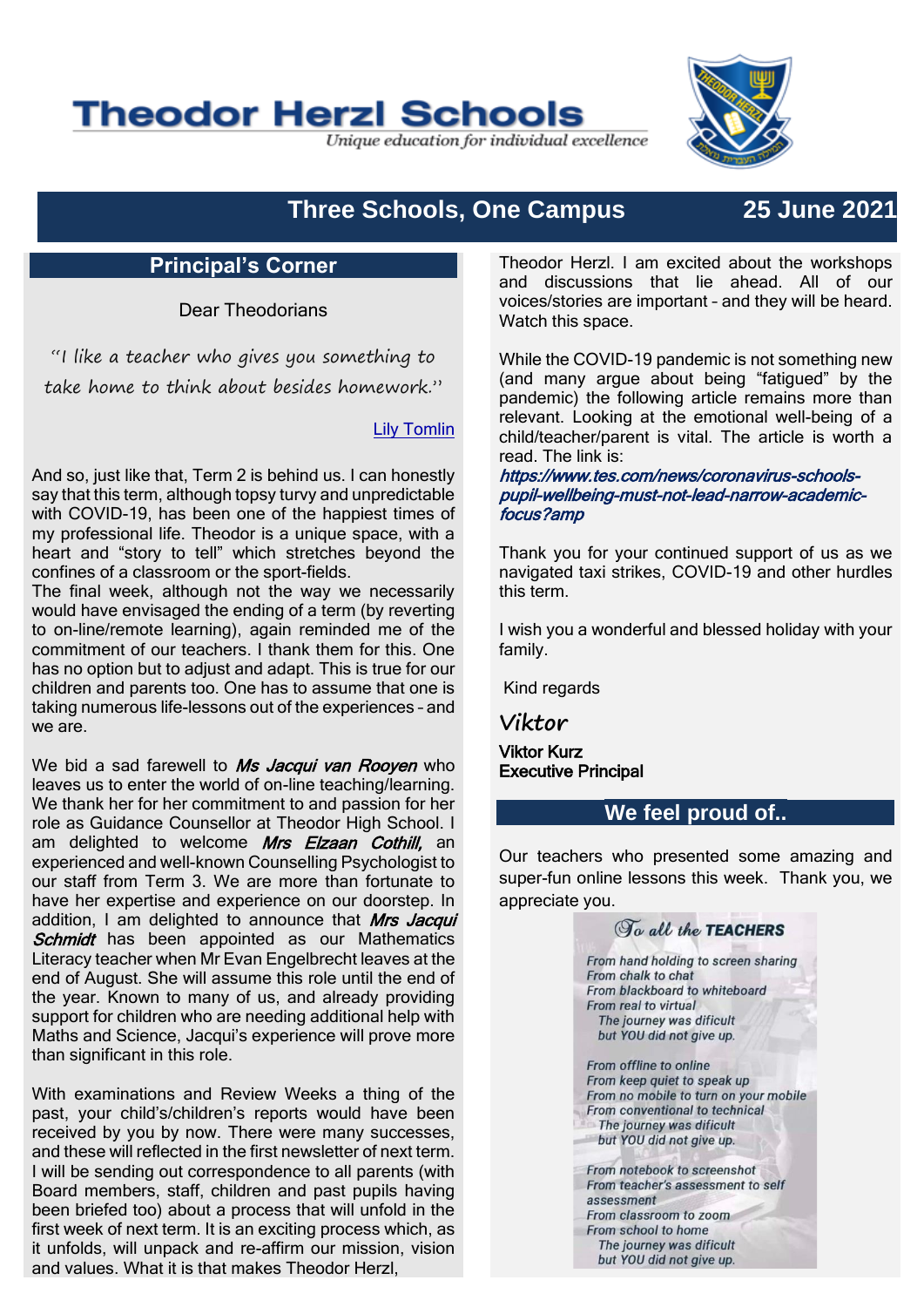# **Theodor Herzl Schools**

Unique education for individual excellence



## **Three Schools, One Campus 25 June 2021**

#### **Principal's Corner**

Dear Theodorians

"I like a teacher who gives you something to take home to think about besides homework."

#### [Lily Tomlin](https://www.brainyquote.com/authors/lily-tomlin-quotes)

And so, just like that, Term 2 is behind us. I can honestly say that this term, although topsy turvy and unpredictable with COVID-19, has been one of the happiest times of my professional life. Theodor is a unique space, with a heart and "story to tell" which stretches beyond the confines of a classroom or the sport-fields.

The final week, although not the way we necessarily would have envisaged the ending of a term (by reverting to on-line/remote learning), again reminded me of the commitment of our teachers. I thank them for this. One has no option but to adjust and adapt. This is true for our children and parents too. One has to assume that one is taking numerous life-lessons out of the experiences – and we are.

We bid a sad farewell to Ms Jacqui van Rooyen who leaves us to enter the world of on-line teaching/learning. We thank her for her commitment to and passion for her role as Guidance Counsellor at Theodor High School. I am delighted to welcome Mrs Elzaan Cothill, an experienced and well-known Counselling Psychologist to our staff from Term 3. We are more than fortunate to have her expertise and experience on our doorstep. In addition, I am delighted to announce that Mrs Jacqui Schmidt has been appointed as our Mathematics Literacy teacher when Mr Evan Engelbrecht leaves at the end of August. She will assume this role until the end of the year. Known to many of us, and already providing support for children who are needing additional help with Maths and Science, Jacqui's experience will prove more than significant in this role.

With examinations and Review Weeks a thing of the past, your child's/children's reports would have been received by you by now. There were many successes, and these will reflected in the first newsletter of next term. I will be sending out correspondence to all parents (with Board members, staff, children and past pupils having been briefed too) about a process that will unfold in the first week of next term. It is an exciting process which, as it unfolds, will unpack and re-affirm our mission, vision and values. What it is that makes Theodor Herzl,

Theodor Herzl. I am excited about the workshops and discussions that lie ahead. All of our voices/stories are important – and they will be heard. Watch this space.

While the COVID-19 pandemic is not something new (and many argue about being "fatigued" by the pandemic) the following article remains more than relevant. Looking at the emotional well-being of a child/teacher/parent is vital. The article is worth a read. The link is:

https://www.tes.com/news/coronavirus-schoolspupil-wellbeing-must-not-lead-narrow-academicfocus?amp

Thank you for your continued support of us as we navigated taxi strikes, COVID-19 and other hurdles this term.

I wish you a wonderful and blessed holiday with your family.

Kind regards

**Viktor**

Viktor Kurz Executive Principal

#### **We feel proud of..**

Our teachers who presented some amazing and super-fun online lessons this week. Thank you, we appreciate you.

## To all the TEACHERS

From hand holding to screen sharing From chalk to chat From blackboard to whiteboard From real to virtual The journey was dificult but YOU did not give up. From offline to online From keep quiet to speak up From no mobile to turn on your mobile From conventional to technical The journey was dificult but YOU did not give up. From notebook to screenshot From teacher's assessment to self assessment From classroom to zoom From school to home The journey was dificult

but YOU did not give up.